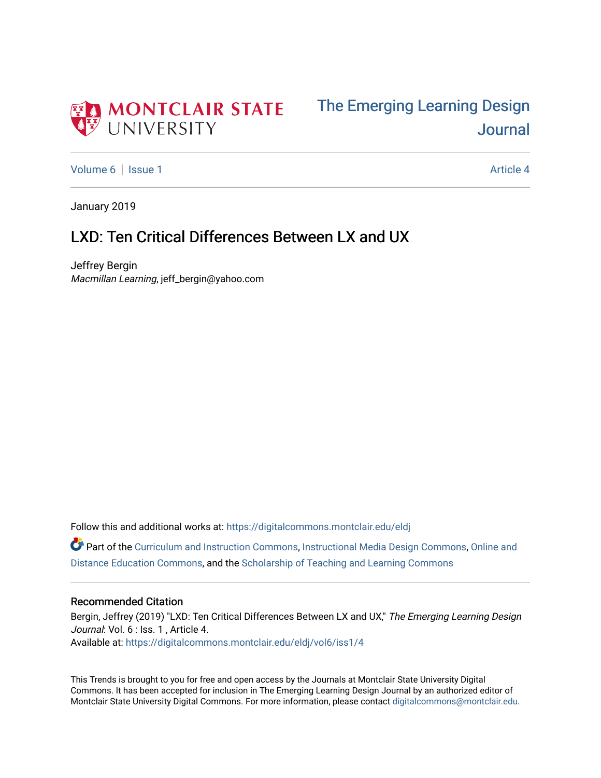



[Volume 6](https://digitalcommons.montclair.edu/eldj/vol6) | [Issue 1](https://digitalcommons.montclair.edu/eldj/vol6/iss1) Article 4

January 2019

## LXD: Ten Critical Differences Between LX and UX

Jeffrey Bergin Macmillan Learning, jeff\_bergin@yahoo.com

Follow this and additional works at: [https://digitalcommons.montclair.edu/eldj](https://digitalcommons.montclair.edu/eldj?utm_source=digitalcommons.montclair.edu%2Feldj%2Fvol6%2Fiss1%2F4&utm_medium=PDF&utm_campaign=PDFCoverPages)

Part of the [Curriculum and Instruction Commons,](http://network.bepress.com/hgg/discipline/786?utm_source=digitalcommons.montclair.edu%2Feldj%2Fvol6%2Fiss1%2F4&utm_medium=PDF&utm_campaign=PDFCoverPages) [Instructional Media Design Commons](http://network.bepress.com/hgg/discipline/795?utm_source=digitalcommons.montclair.edu%2Feldj%2Fvol6%2Fiss1%2F4&utm_medium=PDF&utm_campaign=PDFCoverPages), [Online and](http://network.bepress.com/hgg/discipline/1296?utm_source=digitalcommons.montclair.edu%2Feldj%2Fvol6%2Fiss1%2F4&utm_medium=PDF&utm_campaign=PDFCoverPages)  [Distance Education Commons](http://network.bepress.com/hgg/discipline/1296?utm_source=digitalcommons.montclair.edu%2Feldj%2Fvol6%2Fiss1%2F4&utm_medium=PDF&utm_campaign=PDFCoverPages), and the [Scholarship of Teaching and Learning Commons](http://network.bepress.com/hgg/discipline/1328?utm_source=digitalcommons.montclair.edu%2Feldj%2Fvol6%2Fiss1%2F4&utm_medium=PDF&utm_campaign=PDFCoverPages)

#### Recommended Citation

Bergin, Jeffrey (2019) "LXD: Ten Critical Differences Between LX and UX," The Emerging Learning Design Journal: Vol. 6 : Iss. 1, Article 4. Available at: [https://digitalcommons.montclair.edu/eldj/vol6/iss1/4](https://digitalcommons.montclair.edu/eldj/vol6/iss1/4?utm_source=digitalcommons.montclair.edu%2Feldj%2Fvol6%2Fiss1%2F4&utm_medium=PDF&utm_campaign=PDFCoverPages) 

This Trends is brought to you for free and open access by the Journals at Montclair State University Digital Commons. It has been accepted for inclusion in The Emerging Learning Design Journal by an authorized editor of Montclair State University Digital Commons. For more information, please contact [digitalcommons@montclair.edu.](mailto:digitalcommons@montclair.edu)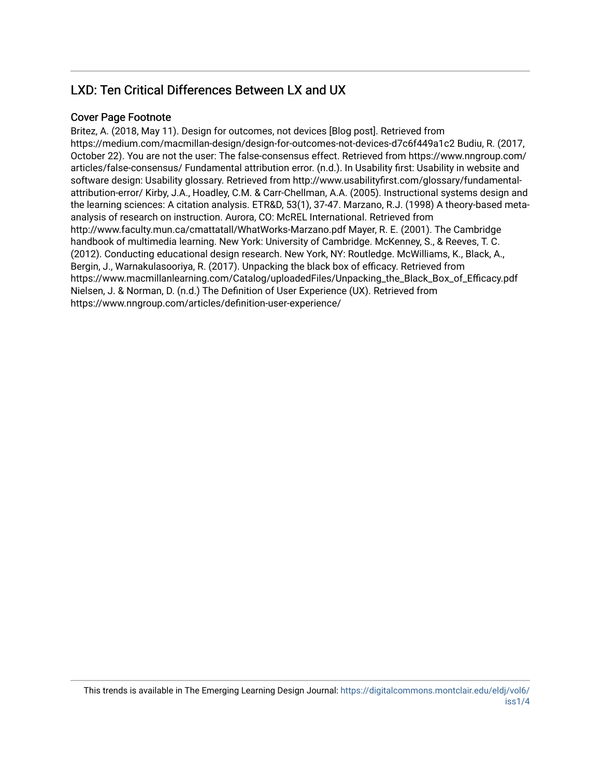### LXD: Ten Critical Differences Between LX and UX

#### Cover Page Footnote

Britez, A. (2018, May 11). Design for outcomes, not devices [Blog post]. Retrieved from https://medium.com/macmillan-design/design-for-outcomes-not-devices-d7c6f449a1c2 Budiu, R. (2017, October 22). You are not the user: The false-consensus effect. Retrieved from https://www.nngroup.com/ articles/false-consensus/ Fundamental attribution error. (n.d.). In Usability first: Usability in website and software design: Usability glossary. Retrieved from http://www.usabilityfirst.com/glossary/fundamentalattribution-error/ Kirby, J.A., Hoadley, C.M. & Carr-Chellman, A.A. (2005). Instructional systems design and the learning sciences: A citation analysis. ETR&D, 53(1), 37-47. Marzano, R.J. (1998) A theory-based metaanalysis of research on instruction. Aurora, CO: McREL International. Retrieved from http://www.faculty.mun.ca/cmattatall/WhatWorks-Marzano.pdf Mayer, R. E. (2001). The Cambridge handbook of multimedia learning. New York: University of Cambridge. McKenney, S., & Reeves, T. C. (2012). Conducting educational design research. New York, NY: Routledge. McWilliams, K., Black, A., Bergin, J., Warnakulasooriya, R. (2017). Unpacking the black box of efficacy. Retrieved from https://www.macmillanlearning.com/Catalog/uploadedFiles/Unpacking\_the\_Black\_Box\_of\_Efficacy.pdf Nielsen, J. & Norman, D. (n.d.) The Definition of User Experience (UX). Retrieved from https://www.nngroup.com/articles/definition-user-experience/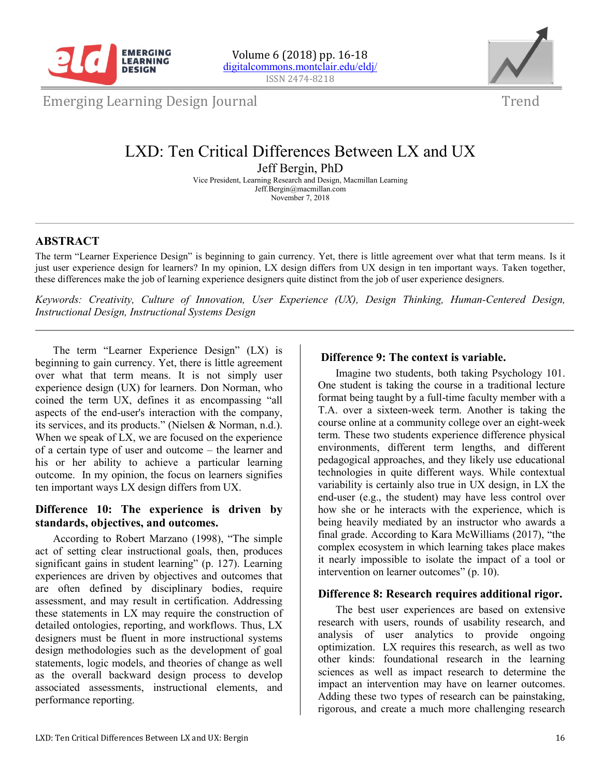



Emerging Learning Design Journal

### Trend

# LXD: Ten Critical Differences Between LX and UX

Jeff Bergin, PhD

Vice President, Learning Research and Design, Macmillan Learning Jeff.Bergin@macmillan.com November 7, 2018

### **ABSTRACT**

The term "Learner Experience Design" is beginning to gain currency. Yet, there is little agreement over what that term means. Is it just user experience design for learners? In my opinion, LX design differs from UX design in ten important ways. Taken together, these differences make the job of learning experience designers quite distinct from the job of user experience designers.

*Keywords: Creativity, Culture of Innovation, User Experience (UX), Design Thinking, Human-Centered Design, Instructional Design, Instructional Systems Design*

The term "Learner Experience Design" (LX) is beginning to gain currency. Yet, there is little agreement over what that term means. It is not simply user experience design (UX) for learners. Don Norman, who coined the term UX, defines it as encompassing "all aspects of the end-user's interaction with the company, its services, and its products." (Nielsen & Norman, n.d.). When we speak of LX, we are focused on the experience of a certain type of user and outcome – the learner and his or her ability to achieve a particular learning outcome. In my opinion, the focus on learners signifies ten important ways LX design differs from UX.

#### **Difference 10: The experience is driven by standards, objectives, and outcomes.**

According to Robert Marzano (1998), "The simple act of setting clear instructional goals, then, produces significant gains in student learning" (p. 127). Learning experiences are driven by objectives and outcomes that are often defined by disciplinary bodies, require assessment, and may result in certification. Addressing these statements in LX may require the construction of detailed ontologies, reporting, and workflows. Thus, LX designers must be fluent in more instructional systems design methodologies such as the development of goal statements, logic models, and theories of change as well as the overall backward design process to develop associated assessments, instructional elements, and performance reporting.

### **Difference 9: The context is variable.**

Imagine two students, both taking Psychology 101. One student is taking the course in a traditional lecture format being taught by a full-time faculty member with a T.A. over a sixteen-week term. Another is taking the course online at a community college over an eight-week term. These two students experience difference physical environments, different term lengths, and different pedagogical approaches, and they likely use educational technologies in quite different ways. While contextual variability is certainly also true in UX design, in LX the end-user (e.g., the student) may have less control over how she or he interacts with the experience, which is being heavily mediated by an instructor who awards a final grade. According to Kara McWilliams (2017), "the complex ecosystem in which learning takes place makes it nearly impossible to isolate the impact of a tool or intervention on learner outcomes" (p. 10).

#### **Difference 8: Research requires additional rigor.**

The best user experiences are based on extensive research with users, rounds of usability research, and analysis of user analytics to provide ongoing optimization. LX requires this research, as well as two other kinds: foundational research in the learning sciences as well as impact research to determine the impact an intervention may have on learner outcomes. Adding these two types of research can be painstaking, rigorous, and create a much more challenging research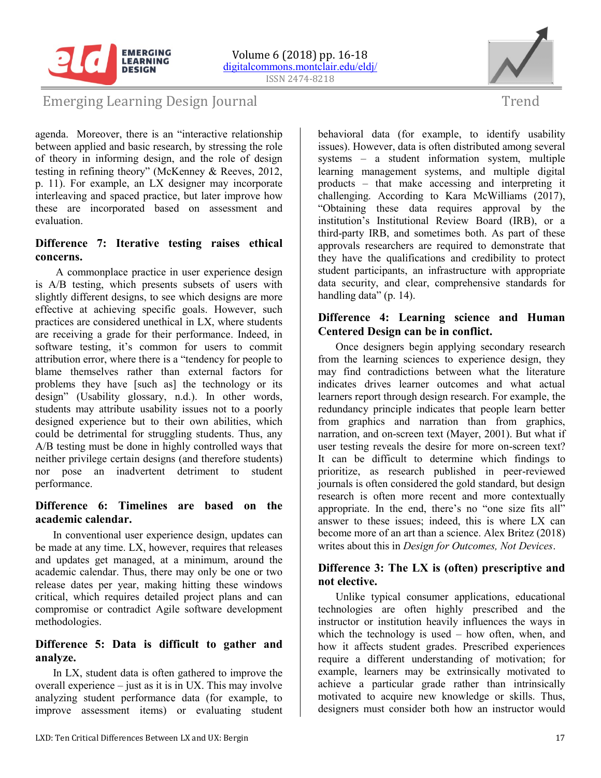

**EMERGING** 



### Emerging Learning Design Journal

agenda. Moreover, there is an "interactive relationship between applied and basic research, by stressing the role of theory in informing design, and the role of design testing in refining theory" (McKenney & Reeves, 2012, p. 11). For example, an LX designer may incorporate interleaving and spaced practice, but later improve how these are incorporated based on assessment and evaluation.

### **Difference 7: Iterative testing raises ethical concerns.**

A commonplace practice in user experience design is A/B testing, which presents subsets of users with slightly different designs, to see which designs are more effective at achieving specific goals. However, such practices are considered unethical in LX, where students are receiving a grade for their performance. Indeed, in software testing, it's common for users to commit attribution error, where there is a "tendency for people to blame themselves rather than external factors for problems they have [such as] the technology or its design" (Usability glossary, n.d.). In other words, students may attribute usability issues not to a poorly designed experience but to their own abilities, which could be detrimental for struggling students. Thus, any A/B testing must be done in highly controlled ways that neither privilege certain designs (and therefore students) nor pose an inadvertent detriment to student performance.

### **Difference 6: Timelines are based on the academic calendar.**

In conventional user experience design, updates can be made at any time. LX, however, requires that releases and updates get managed, at a minimum, around the academic calendar. Thus, there may only be one or two release dates per year, making hitting these windows critical, which requires detailed project plans and can compromise or contradict Agile software development methodologies.

### **Difference 5: Data is difficult to gather and analyze.**

In LX, student data is often gathered to improve the overall experience – just as it is in UX. This may involve analyzing student performance data (for example, to improve assessment items) or evaluating student

behavioral data (for example, to identify usability issues). However, data is often distributed among several systems – a student information system, multiple learning management systems, and multiple digital products – that make accessing and interpreting it challenging. According to Kara McWilliams (2017), "Obtaining these data requires approval by the institution's Institutional Review Board (IRB), or a third-party IRB, and sometimes both. As part of these approvals researchers are required to demonstrate that they have the qualifications and credibility to protect student participants, an infrastructure with appropriate data security, and clear, comprehensive standards for handling data" (p. 14).

### **Difference 4: Learning science and Human Centered Design can be in conflict.**

Once designers begin applying secondary research from the learning sciences to experience design, they may find contradictions between what the literature indicates drives learner outcomes and what actual learners report through design research. For example, the redundancy principle indicates that people learn better from graphics and narration than from graphics, narration, and on-screen text (Mayer, 2001). But what if user testing reveals the desire for more on-screen text? It can be difficult to determine which findings to prioritize, as research published in peer-reviewed journals is often considered the gold standard, but design research is often more recent and more contextually appropriate. In the end, there's no "one size fits all" answer to these issues; indeed, this is where LX can become more of an art than a science. Alex Britez (2018) writes about this in *Design for Outcomes, Not Devices*.

### **Difference 3: The LX is (often) prescriptive and not elective.**

Unlike typical consumer applications, educational technologies are often highly prescribed and the instructor or institution heavily influences the ways in which the technology is used – how often, when, and how it affects student grades. Prescribed experiences require a different understanding of motivation; for example, learners may be extrinsically motivated to achieve a particular grade rather than intrinsically motivated to acquire new knowledge or skills. Thus, designers must consider both how an instructor would